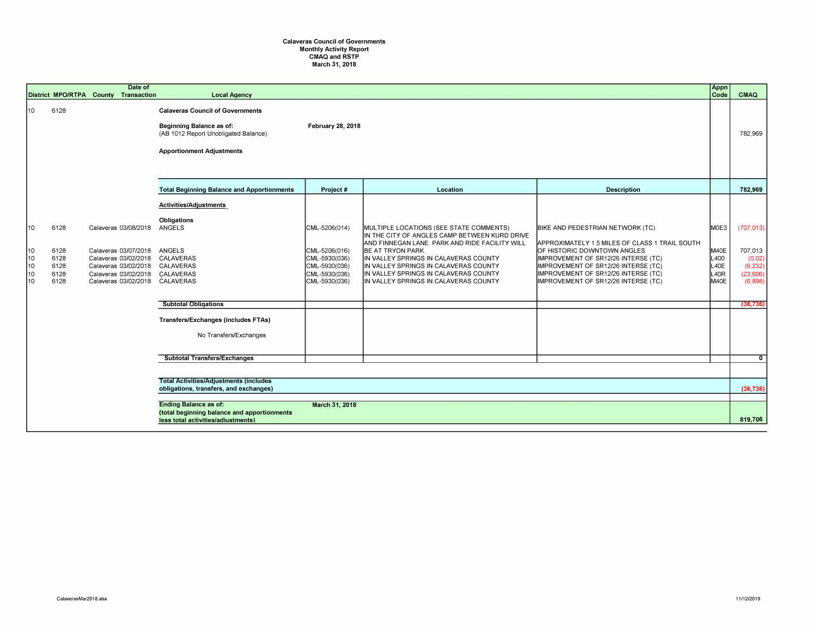## Calaveras Council of Governments Monthly Activity Report CMAQ and RSTP March 31, 2018

|                                  |                                              | Date of<br>District MPO/RTPA County Transaction                                                                                                        | <b>Local Agency</b>                                                                                                                                                  |                                                                                                          |                                                                                                                                                                                                                                                                                                                                       |                                                                                                                                                                                                                                                                               | Appn<br>Code                                 | <b>CMAQ</b>                                                        |
|----------------------------------|----------------------------------------------|--------------------------------------------------------------------------------------------------------------------------------------------------------|----------------------------------------------------------------------------------------------------------------------------------------------------------------------|----------------------------------------------------------------------------------------------------------|---------------------------------------------------------------------------------------------------------------------------------------------------------------------------------------------------------------------------------------------------------------------------------------------------------------------------------------|-------------------------------------------------------------------------------------------------------------------------------------------------------------------------------------------------------------------------------------------------------------------------------|----------------------------------------------|--------------------------------------------------------------------|
| 10                               | 6128                                         |                                                                                                                                                        | <b>Calaveras Council of Governments</b><br>Beginning Balance as of:<br>February 28, 2018<br>(AB 1012 Report Unobligated Balance)<br><b>Apportionment Adjustments</b> |                                                                                                          |                                                                                                                                                                                                                                                                                                                                       |                                                                                                                                                                                                                                                                               |                                              | 782,969                                                            |
|                                  |                                              |                                                                                                                                                        | <b>Total Beginning Balance and Apportionments</b>                                                                                                                    | Project#                                                                                                 | Location                                                                                                                                                                                                                                                                                                                              | <b>Description</b>                                                                                                                                                                                                                                                            |                                              | 782,969                                                            |
| 10<br>10<br>10<br>10<br>10<br>10 | 6128<br>6128<br>6128<br>6128<br>6128<br>6128 | Calaveras 03/08/2018<br>Calaveras 03/07/2018<br>Calaveras 03/02/2018<br>Calaveras 03/02/2018<br>Calaveras 03/02/2018<br>Calaveras 03/02/2018 CALAVERAS | Activities/Adjustments<br>Obligations<br>ANGELS<br>ANGELS<br>CALAVERAS<br>CALAVERAS<br>CALAVERAS                                                                     | $ CML - 5206(014) $<br>CML-5206(016)<br>CML-5930(036)<br>CML-5930(036)<br>CML-5930(036)<br>CML-5930(036) | MULTIPLE LOCATIONS (SEE STATE COMMENTS)<br>IN THE CITY OF ANGLES CAMP BETWEEN KURD DRIVE<br>AND FINNEGAN LANE. PARK AND RIDE FACILITY WILL<br>BE AT TRYON PARK.<br>IIN VALLEY SPRINGS IN CALAVERAS COUNTY<br>IN VALLEY SPRINGS IN CALAVERAS COUNTY<br>IIN VALLEY SPRINGS IN CALAVERAS COUNTY<br>IN VALLEY SPRINGS IN CALAVERAS COUNTY | BIKE AND PEDESTRIAN NETWORK (TC)<br>APPROXIMATELY 1.5 MILES OF CLASS 1 TRAIL SOUTH<br>OF HISTORIC DOWNTOWN ANGLES<br>IMPROVEMENT OF SR12/26 INTERSE (TC)<br>IMPROVEMENT OF SR12/26 INTERSE (TC)<br>IMPROVEMENT OF SR12/26 INTERSE (TC)<br>IMPROVEMENT OF SR12/26 INTERSE (TC) | MOE3<br>M40E<br>L400<br>L40E<br>L40R<br>M40E | (707, 013)<br>707,013<br>(0.02)<br>(6, 232)<br>(23,606)<br>(6,898) |
|                                  |                                              |                                                                                                                                                        | <b>Subtotal Obligations</b>                                                                                                                                          |                                                                                                          |                                                                                                                                                                                                                                                                                                                                       |                                                                                                                                                                                                                                                                               |                                              | (36, 736)                                                          |
|                                  |                                              |                                                                                                                                                        | Transfers/Exchanges (includes FTAs)<br>No Transfers/Exchanges                                                                                                        |                                                                                                          |                                                                                                                                                                                                                                                                                                                                       |                                                                                                                                                                                                                                                                               |                                              |                                                                    |
|                                  |                                              |                                                                                                                                                        | <b>Subtotal Transfers/Exchanges</b>                                                                                                                                  |                                                                                                          |                                                                                                                                                                                                                                                                                                                                       |                                                                                                                                                                                                                                                                               |                                              | $\overline{0}$                                                     |
|                                  |                                              |                                                                                                                                                        | <b>Total Activities/Adjustments (includes)</b><br>obligations, transfers, and exchanges)                                                                             |                                                                                                          |                                                                                                                                                                                                                                                                                                                                       |                                                                                                                                                                                                                                                                               |                                              |                                                                    |
|                                  |                                              |                                                                                                                                                        |                                                                                                                                                                      |                                                                                                          |                                                                                                                                                                                                                                                                                                                                       |                                                                                                                                                                                                                                                                               |                                              | (36, 736)                                                          |
|                                  |                                              |                                                                                                                                                        | <b>Ending Balance as of:</b><br>(total beginning balance and apportionments<br>less total activities/adiustments)                                                    | March 31, 2018                                                                                           |                                                                                                                                                                                                                                                                                                                                       |                                                                                                                                                                                                                                                                               |                                              | 819,706                                                            |